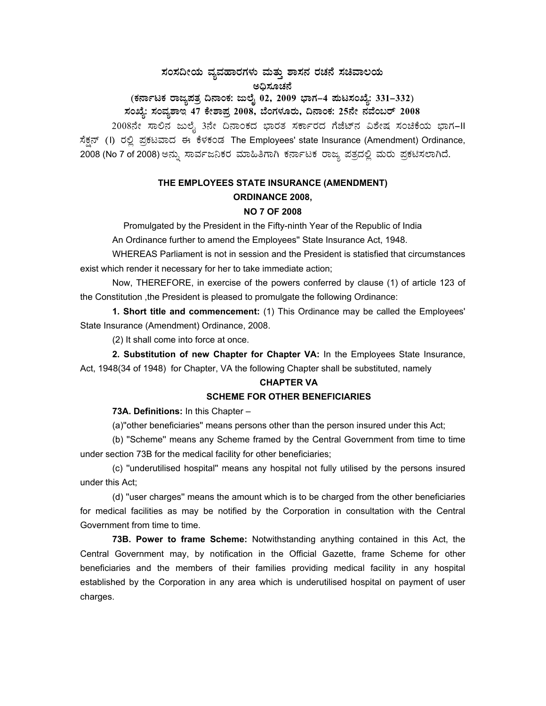#### ಸಂಸದೀಯ ವ್ಯವಹಾರಗಳು ಮತ್ತು ಶಾಸನ ರಚನೆ ಸಚಿವಾಲಯ ಅಧಿಸೂಚನೆ

# (ಕರ್ನಾಟಕ ರಾಜ್ಯಪತ್ರ ದಿನಾಂಕ: ಜುಲೈ 02, 2009 ಭಾಗ–4 ಪುಟಸಂಖ್ಯೆ: 331–332)

## ಸಂಖ್ಯೆ: ಸಂವ್ಯಶಾಇ 47 ಕೇಶಾಪ್ರ 2008, ಬೆಂಗಳೂರು, ದಿನಾಂಕ: 25ನೇ ನವೆಂಬರ್ 2008

2008ನೇ ಸಾಲಿನ ಜುಲೈ 3ನೇ ದಿನಾಂಕದ ಭಾರತ ಸರ್ಕಾರದ ಗೆಜೆಟ್*ನ ವಿಶೇಷ ಸಂಚಿಕೆಯ ಭಾಗ*-II ಸೆಕ್ಷನ್ (I) ರಲ್ಲಿ ಪ್ರಕಟವಾದ ಈ ಕೆಳಕಂಡ The Employees' state Insurance (Amendment) Ordinance, 2008 (No 7 of 2008) ಅನ್ನು ಸಾರ್ವಜನಿಕರ ಮಾಹಿತಿಗಾಗಿ ಕರ್ನಾಟಕ ರಾಜ್ಯ ಪತ್ರದಲ್ಲಿ ಮರು ಪ್ರಕಟಿಸಲಾಗಿದೆ.

### THE EMPLOYEES STATE INSURANCE (AMENDMENT) **ORDINANCE 2008. NO 7 OF 2008**

Promulgated by the President in the Fifty-ninth Year of the Republic of India

An Ordinance further to amend the Employees" State Insurance Act, 1948.

WHEREAS Parliament is not in session and the President is statisfied that circumstances exist which render it necessary for her to take immediate action;

Now, THEREFORE, in exercise of the powers conferred by clause (1) of article 123 of the Constitution, the President is pleased to promulgate the following Ordinance:

1. Short title and commencement: (1) This Ordinance may be called the Employees' State Insurance (Amendment) Ordinance, 2008.

(2) It shall come into force at once.

2. Substitution of new Chapter for Chapter VA: In the Employees State Insurance. Act, 1948(34 of 1948) for Chapter, VA the following Chapter shall be substituted, namely

#### **CHAPTER VA SCHEME FOR OTHER BENEFICIARIES**

#### 73A. Definitions: In this Chapter -

(a)"other beneficiaries" means persons other than the person insured under this Act;

(b) "Scheme" means any Scheme framed by the Central Government from time to time under section 73B for the medical facility for other beneficiaries;

(c) "underutilised hospital" means any hospital not fully utilised by the persons insured under this Act:

(d) "user charges" means the amount which is to be charged from the other beneficiaries for medical facilities as may be notified by the Corporation in consultation with the Central Government from time to time.

73B. Power to frame Scheme: Notwithstanding anything contained in this Act, the Central Government may, by notification in the Official Gazette, frame Scheme for other beneficiaries and the members of their families providing medical facility in any hospital established by the Corporation in any area which is underutilised hospital on payment of user charges.